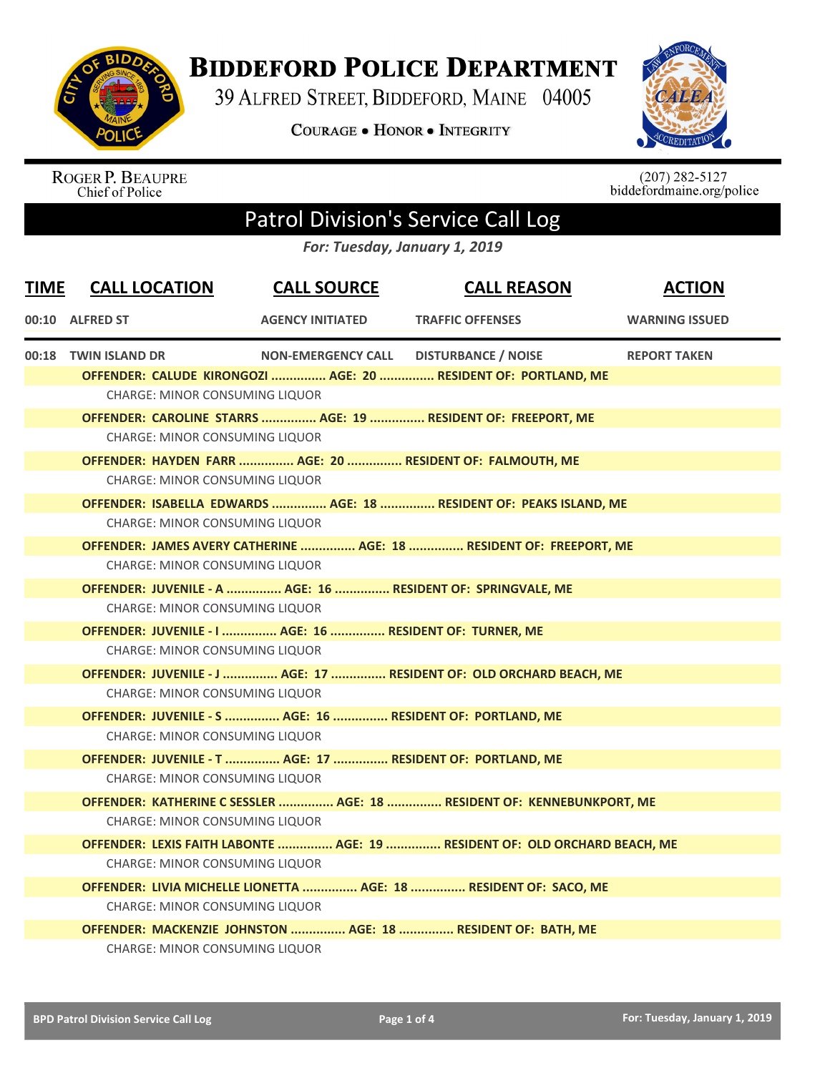

## **BIDDEFORD POLICE DEPARTMENT**

39 ALFRED STREET, BIDDEFORD, MAINE 04005

**COURAGE . HONOR . INTEGRITY** 



ROGER P. BEAUPRE<br>Chief of Police

 $(207) 282-5127$ biddefordmaine.org/police

## Patrol Division's Service Call Log

*For: Tuesday, January 1, 2019*

| <b>TIME</b> | <b>CALL LOCATION</b>                  | <b>CALL SOURCE</b>                                         | <b>CALL REASON</b>                                                         | <b>ACTION</b>         |  |
|-------------|---------------------------------------|------------------------------------------------------------|----------------------------------------------------------------------------|-----------------------|--|
|             | 00:10 ALFRED ST                       | <b>AGENCY INITIATED</b>                                    | <b>TRAFFIC OFFENSES</b>                                                    | <b>WARNING ISSUED</b> |  |
|             | 00:18 TWIN ISLAND DR                  | <b>NON-EMERGENCY CALL</b>                                  | <b>DISTURBANCE / NOISE</b>                                                 | <b>REPORT TAKEN</b>   |  |
|             |                                       |                                                            | OFFENDER: CALUDE KIRONGOZI  AGE: 20  RESIDENT OF: PORTLAND, ME             |                       |  |
|             | <b>CHARGE: MINOR CONSUMING LIQUOR</b> |                                                            |                                                                            |                       |  |
|             |                                       |                                                            | OFFENDER: CAROLINE STARRS  AGE: 19  RESIDENT OF: FREEPORT, ME              |                       |  |
|             | <b>CHARGE: MINOR CONSUMING LIQUOR</b> |                                                            |                                                                            |                       |  |
|             |                                       |                                                            | OFFENDER: HAYDEN FARR  AGE: 20  RESIDENT OF: FALMOUTH, ME                  |                       |  |
|             | <b>CHARGE: MINOR CONSUMING LIQUOR</b> |                                                            |                                                                            |                       |  |
|             |                                       |                                                            | OFFENDER: ISABELLA EDWARDS  AGE: 18  RESIDENT OF: PEAKS ISLAND, ME         |                       |  |
|             | <b>CHARGE: MINOR CONSUMING LIQUOR</b> |                                                            |                                                                            |                       |  |
|             |                                       |                                                            | OFFENDER: JAMES AVERY CATHERINE  AGE: 18  RESIDENT OF: FREEPORT, ME        |                       |  |
|             | <b>CHARGE: MINOR CONSUMING LIQUOR</b> |                                                            |                                                                            |                       |  |
|             |                                       |                                                            | OFFENDER: JUVENILE - A  AGE: 16  RESIDENT OF: SPRINGVALE, ME               |                       |  |
|             | <b>CHARGE: MINOR CONSUMING LIQUOR</b> |                                                            |                                                                            |                       |  |
|             |                                       | OFFENDER: JUVENILE - I  AGE: 16  RESIDENT OF: TURNER, ME   |                                                                            |                       |  |
|             | CHARGE: MINOR CONSUMING LIQUOR        |                                                            |                                                                            |                       |  |
|             |                                       |                                                            | OFFENDER: JUVENILE - J  AGE: 17  RESIDENT OF: OLD ORCHARD BEACH, ME        |                       |  |
|             | <b>CHARGE: MINOR CONSUMING LIQUOR</b> |                                                            |                                                                            |                       |  |
|             |                                       | OFFENDER: JUVENILE - S  AGE: 16  RESIDENT OF: PORTLAND, ME |                                                                            |                       |  |
|             | <b>CHARGE: MINOR CONSUMING LIQUOR</b> |                                                            |                                                                            |                       |  |
|             |                                       | OFFENDER: JUVENILE - T  AGE: 17  RESIDENT OF: PORTLAND, ME |                                                                            |                       |  |
|             | CHARGE: MINOR CONSUMING LIQUOR        |                                                            |                                                                            |                       |  |
|             |                                       |                                                            | OFFENDER: KATHERINE C SESSLER  AGE: 18  RESIDENT OF: KENNEBUNKPORT, ME     |                       |  |
|             | <b>CHARGE: MINOR CONSUMING LIQUOR</b> |                                                            |                                                                            |                       |  |
|             |                                       |                                                            | OFFENDER: LEXIS FAITH LABONTE  AGE: 19  RESIDENT OF: OLD ORCHARD BEACH, ME |                       |  |
|             | <b>CHARGE: MINOR CONSUMING LIQUOR</b> |                                                            |                                                                            |                       |  |
|             |                                       |                                                            | OFFENDER: LIVIA MICHELLE LIONETTA  AGE: 18  RESIDENT OF: SACO, ME          |                       |  |
|             | <b>CHARGE: MINOR CONSUMING LIQUOR</b> |                                                            |                                                                            |                       |  |
|             |                                       |                                                            | OFFENDER: MACKENZIE JOHNSTON  AGE: 18  RESIDENT OF: BATH, ME               |                       |  |
|             | CHARGE: MINOR CONSUMING LIQUOR        |                                                            |                                                                            |                       |  |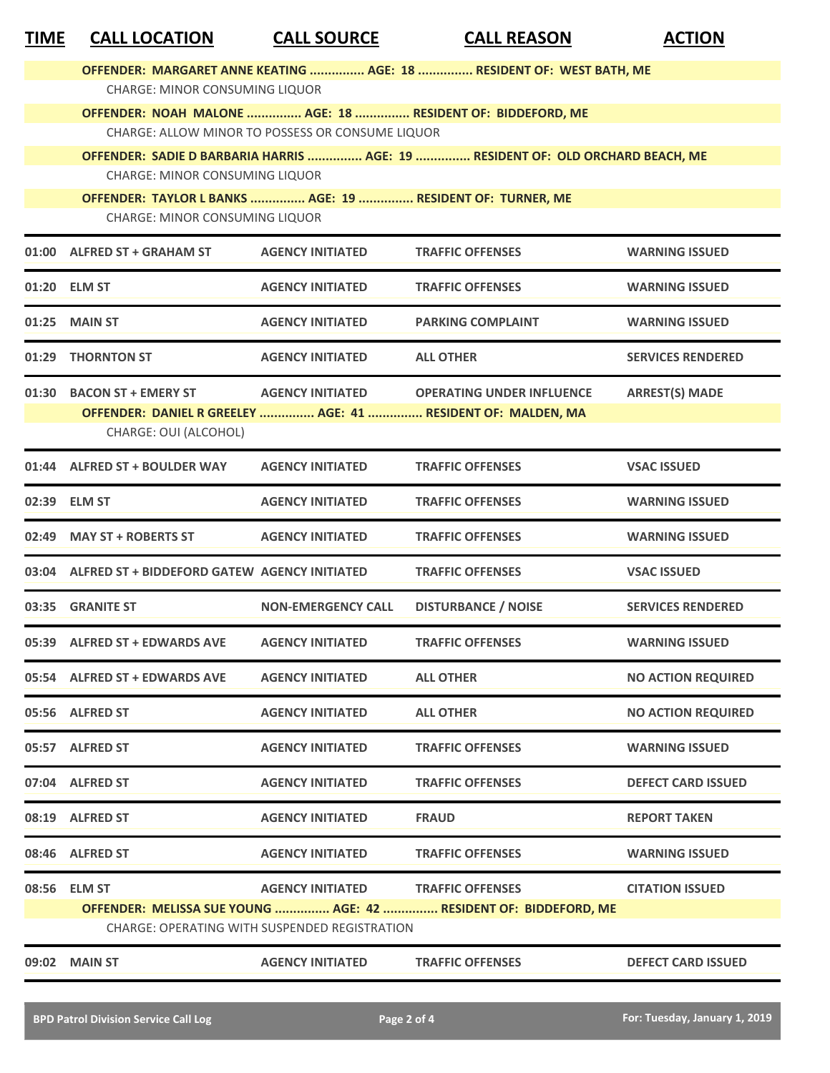| <b>TIME</b> | <b>CALL LOCATION</b>                                       | <b>CALL SOURCE</b>        | <b>CALL REASON</b>                                                             | <b>ACTION</b>             |
|-------------|------------------------------------------------------------|---------------------------|--------------------------------------------------------------------------------|---------------------------|
|             |                                                            |                           | OFFENDER: MARGARET ANNE KEATING  AGE: 18  RESIDENT OF: WEST BATH, ME           |                           |
|             | <b>CHARGE: MINOR CONSUMING LIQUOR</b>                      |                           |                                                                                |                           |
|             |                                                            |                           | OFFENDER: NOAH MALONE  AGE: 18  RESIDENT OF: BIDDEFORD, ME                     |                           |
|             | CHARGE: ALLOW MINOR TO POSSESS OR CONSUME LIQUOR           |                           |                                                                                |                           |
|             | <b>CHARGE: MINOR CONSUMING LIQUOR</b>                      |                           | OFFENDER: SADIE D BARBARIA HARRIS  AGE: 19  RESIDENT OF: OLD ORCHARD BEACH, ME |                           |
|             | OFFENDER: TAYLOR L BANKS  AGE: 19  RESIDENT OF: TURNER, ME |                           |                                                                                |                           |
|             | <b>CHARGE: MINOR CONSUMING LIQUOR</b>                      |                           |                                                                                |                           |
|             | 01:00 ALFRED ST + GRAHAM ST                                | <b>AGENCY INITIATED</b>   | <b>TRAFFIC OFFENSES</b>                                                        | <b>WARNING ISSUED</b>     |
|             | 01:20 ELM ST                                               | <b>AGENCY INITIATED</b>   | <b>TRAFFIC OFFENSES</b>                                                        | <b>WARNING ISSUED</b>     |
| 01:25       | <b>MAIN ST</b>                                             | <b>AGENCY INITIATED</b>   | <b>PARKING COMPLAINT</b>                                                       | <b>WARNING ISSUED</b>     |
|             | 01:29 THORNTON ST                                          | <b>AGENCY INITIATED</b>   | <b>ALL OTHER</b>                                                               | <b>SERVICES RENDERED</b>  |
|             | 01:30 BACON ST + EMERY ST                                  | <b>AGENCY INITIATED</b>   | <b>OPERATING UNDER INFLUENCE</b>                                               | <b>ARREST(S) MADE</b>     |
|             |                                                            |                           | OFFENDER: DANIEL R GREELEY  AGE: 41  RESIDENT OF: MALDEN, MA                   |                           |
|             | CHARGE: OUI (ALCOHOL)                                      |                           |                                                                                |                           |
|             | 01:44 ALFRED ST + BOULDER WAY                              | <b>AGENCY INITIATED</b>   | <b>TRAFFIC OFFENSES</b>                                                        | <b>VSAC ISSUED</b>        |
| 02:39       | <b>ELM ST</b>                                              | <b>AGENCY INITIATED</b>   | <b>TRAFFIC OFFENSES</b>                                                        | <b>WARNING ISSUED</b>     |
| 02:49       | <b>MAY ST + ROBERTS ST</b>                                 | <b>AGENCY INITIATED</b>   | <b>TRAFFIC OFFENSES</b>                                                        | <b>WARNING ISSUED</b>     |
|             | 03:04 ALFRED ST + BIDDEFORD GATEW AGENCY INITIATED         |                           | <b>TRAFFIC OFFENSES</b>                                                        | <b>VSAC ISSUED</b>        |
|             | 03:35 GRANITE ST                                           | <b>NON-EMERGENCY CALL</b> | <b>DISTURBANCE / NOISE</b>                                                     | <b>SERVICES RENDERED</b>  |
|             | 05:39 ALFRED ST + EDWARDS AVE                              | <b>AGENCY INITIATED</b>   | <b>TRAFFIC OFFENSES</b>                                                        | <b>WARNING ISSUED</b>     |
|             | 05:54 ALFRED ST + EDWARDS AVE                              | <b>AGENCY INITIATED</b>   | <b>ALL OTHER</b>                                                               | <b>NO ACTION REQUIRED</b> |
|             | 05:56 ALFRED ST                                            | <b>AGENCY INITIATED</b>   | <b>ALL OTHER</b>                                                               | <b>NO ACTION REQUIRED</b> |
|             | 05:57 ALFRED ST                                            | <b>AGENCY INITIATED</b>   | <b>TRAFFIC OFFENSES</b>                                                        | <b>WARNING ISSUED</b>     |
|             | 07:04 ALFRED ST                                            | <b>AGENCY INITIATED</b>   | <b>TRAFFIC OFFENSES</b>                                                        | <b>DEFECT CARD ISSUED</b> |
|             | 08:19 ALFRED ST                                            | <b>AGENCY INITIATED</b>   | <b>FRAUD</b>                                                                   | <b>REPORT TAKEN</b>       |
|             | 08:46 ALFRED ST                                            | <b>AGENCY INITIATED</b>   | <b>TRAFFIC OFFENSES</b>                                                        | <b>WARNING ISSUED</b>     |
|             | 08:56 ELM ST                                               | <b>AGENCY INITIATED</b>   | <b>TRAFFIC OFFENSES</b>                                                        | <b>CITATION ISSUED</b>    |
|             |                                                            |                           | OFFENDER: MELISSA SUE YOUNG  AGE: 42  RESIDENT OF: BIDDEFORD, ME               |                           |
|             | CHARGE: OPERATING WITH SUSPENDED REGISTRATION              |                           |                                                                                |                           |
|             | 09:02 MAIN ST                                              | <b>AGENCY INITIATED</b>   | <b>TRAFFIC OFFENSES</b>                                                        | <b>DEFECT CARD ISSUED</b> |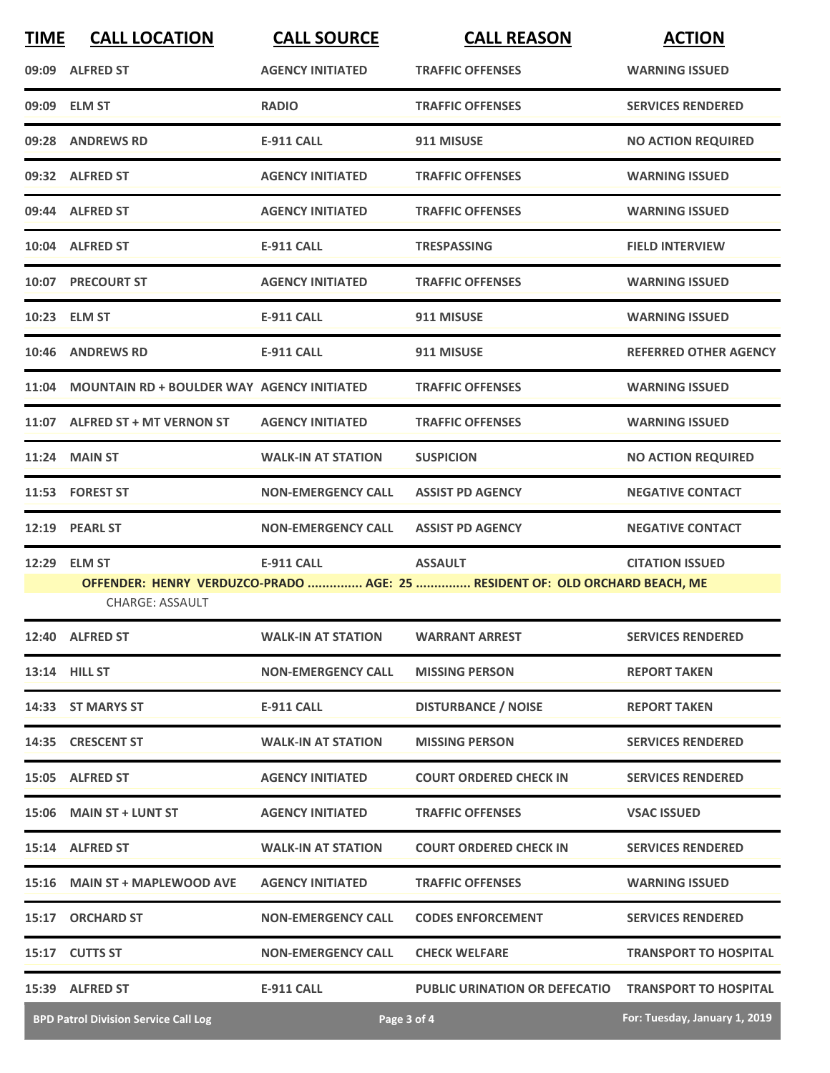| <b>TIME</b> | <b>CALL LOCATION</b>                              | <b>CALL SOURCE</b>                       | <b>CALL REASON</b>                                                          | <b>ACTION</b>                 |
|-------------|---------------------------------------------------|------------------------------------------|-----------------------------------------------------------------------------|-------------------------------|
|             | 09:09 ALFRED ST                                   | <b>AGENCY INITIATED</b>                  | <b>TRAFFIC OFFENSES</b>                                                     | <b>WARNING ISSUED</b>         |
|             | 09:09 ELM ST                                      | <b>RADIO</b>                             | <b>TRAFFIC OFFENSES</b>                                                     | <b>SERVICES RENDERED</b>      |
|             | 09:28 ANDREWS RD                                  | <b>E-911 CALL</b>                        | 911 MISUSE                                                                  | <b>NO ACTION REQUIRED</b>     |
|             | 09:32 ALFRED ST                                   | <b>AGENCY INITIATED</b>                  | <b>TRAFFIC OFFENSES</b>                                                     | <b>WARNING ISSUED</b>         |
|             | 09:44 ALFRED ST                                   | <b>AGENCY INITIATED</b>                  | <b>TRAFFIC OFFENSES</b>                                                     | <b>WARNING ISSUED</b>         |
|             | 10:04 ALFRED ST                                   | <b>E-911 CALL</b>                        | <b>TRESPASSING</b>                                                          | <b>FIELD INTERVIEW</b>        |
|             | 10:07 PRECOURT ST                                 | <b>AGENCY INITIATED</b>                  | <b>TRAFFIC OFFENSES</b>                                                     | <b>WARNING ISSUED</b>         |
|             | 10:23 ELM ST                                      | <b>E-911 CALL</b>                        | 911 MISUSE                                                                  | <b>WARNING ISSUED</b>         |
| 10:46       | <b>ANDREWS RD</b>                                 | <b>E-911 CALL</b>                        | 911 MISUSE                                                                  | <b>REFERRED OTHER AGENCY</b>  |
| 11:04       | <b>MOUNTAIN RD + BOULDER WAY AGENCY INITIATED</b> |                                          | <b>TRAFFIC OFFENSES</b>                                                     | <b>WARNING ISSUED</b>         |
|             | 11:07 ALFRED ST + MT VERNON ST                    | <b>AGENCY INITIATED</b>                  | <b>TRAFFIC OFFENSES</b>                                                     | <b>WARNING ISSUED</b>         |
|             | <b>11:24 MAIN ST</b>                              | <b>WALK-IN AT STATION</b>                | <b>SUSPICION</b>                                                            | <b>NO ACTION REQUIRED</b>     |
|             | 11:53 FOREST ST                                   | <b>NON-EMERGENCY CALL</b>                | <b>ASSIST PD AGENCY</b>                                                     | <b>NEGATIVE CONTACT</b>       |
| 12:19       | <b>PEARL ST</b>                                   | <b>NON-EMERGENCY CALL</b>                | <b>ASSIST PD AGENCY</b>                                                     | <b>NEGATIVE CONTACT</b>       |
| 12:29       | <b>ELM ST</b>                                     | <b>E-911 CALL</b>                        | <b>ASSAULT</b>                                                              | <b>CITATION ISSUED</b>        |
|             | <b>CHARGE: ASSAULT</b>                            |                                          | OFFENDER: HENRY VERDUZCO-PRADO  AGE: 25  RESIDENT OF: OLD ORCHARD BEACH, ME |                               |
|             | 12:40 ALFRED ST                                   | <b>WALK-IN AT STATION WARRANT ARREST</b> |                                                                             | <b>SERVICES RENDERED</b>      |
|             | <b>13:14 HILL ST</b>                              | <b>NON-EMERGENCY CALL</b>                | <b>MISSING PERSON</b>                                                       | <b>REPORT TAKEN</b>           |
|             | 14:33 ST MARYS ST                                 | E-911 CALL                               | <b>DISTURBANCE / NOISE</b>                                                  | <b>REPORT TAKEN</b>           |
|             | 14:35 CRESCENT ST                                 | <b>WALK-IN AT STATION</b>                | <b>MISSING PERSON</b>                                                       | <b>SERVICES RENDERED</b>      |
|             | 15:05 ALFRED ST                                   | <b>AGENCY INITIATED</b>                  | <b>COURT ORDERED CHECK IN</b>                                               | <b>SERVICES RENDERED</b>      |
|             | 15:06 MAIN ST + LUNT ST                           | <b>AGENCY INITIATED</b>                  | <b>TRAFFIC OFFENSES</b>                                                     | <b>VSAC ISSUED</b>            |
|             | 15:14 ALFRED ST                                   | <b>WALK-IN AT STATION</b>                | <b>COURT ORDERED CHECK IN</b>                                               | <b>SERVICES RENDERED</b>      |
|             | 15:16 MAIN ST + MAPLEWOOD AVE                     | <b>AGENCY INITIATED</b>                  | <b>TRAFFIC OFFENSES</b>                                                     | <b>WARNING ISSUED</b>         |
|             | 15:17 ORCHARD ST                                  | <b>NON-EMERGENCY CALL</b>                | <b>CODES ENFORCEMENT</b>                                                    | <b>SERVICES RENDERED</b>      |
|             | 15:17 CUTTS ST                                    | <b>NON-EMERGENCY CALL</b>                | <b>CHECK WELFARE</b>                                                        | <b>TRANSPORT TO HOSPITAL</b>  |
|             | 15:39 ALFRED ST                                   | <b>E-911 CALL</b>                        | <b>PUBLIC URINATION OR DEFECATIO</b>                                        | <b>TRANSPORT TO HOSPITAL</b>  |
|             | <b>BPD Patrol Division Service Call Log</b>       | Page 3 of 4                              |                                                                             | For: Tuesday, January 1, 2019 |

×